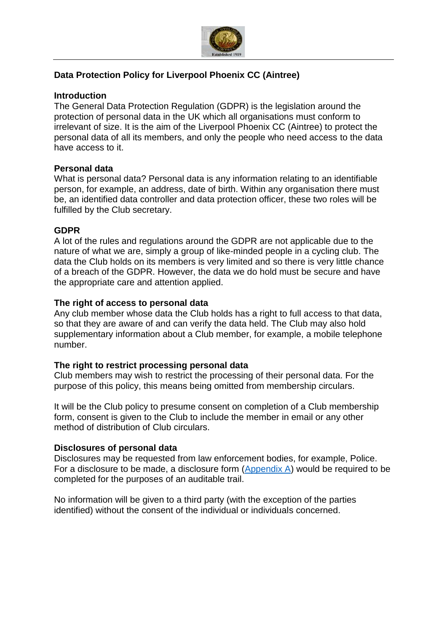

## **Data Protection Policy for Liverpool Phoenix CC (Aintree)**

#### **Introduction**

The General Data Protection Regulation (GDPR) is the legislation around the protection of personal data in the UK which all organisations must conform to irrelevant of size. It is the aim of the Liverpool Phoenix CC (Aintree) to protect the personal data of all its members, and only the people who need access to the data have access to it.

## **Personal data**

What is personal data? Personal data is any information relating to an identifiable person, for example, an address, date of birth. Within any organisation there must be, an identified data controller and data protection officer, these two roles will be fulfilled by the Club secretary.

#### **GDPR**

A lot of the rules and regulations around the GDPR are not applicable due to the nature of what we are, simply a group of like-minded people in a cycling club. The data the Club holds on its members is very limited and so there is very little chance of a breach of the GDPR. However, the data we do hold must be secure and have the appropriate care and attention applied.

#### **The right of access to personal data**

Any club member whose data the Club holds has a right to full access to that data, so that they are aware of and can verify the data held. The Club may also hold supplementary information about a Club member, for example, a mobile telephone number.

## **The right to restrict processing personal data**

Club members may wish to restrict the processing of their personal data. For the purpose of this policy, this means being omitted from membership circulars.

It will be the Club policy to presume consent on completion of a Club membership form, consent is given to the Club to include the member in email or any other method of distribution of Club circulars.

#### **Disclosures of personal data**

Disclosures may be requested from law enforcement bodies, for example, Police. For a disclosure to be made, a disclosure form [\(Appendix A\)](#page-1-0) would be required to be completed for the purposes of an auditable trail.

No information will be given to a third party (with the exception of the parties identified) without the consent of the individual or individuals concerned.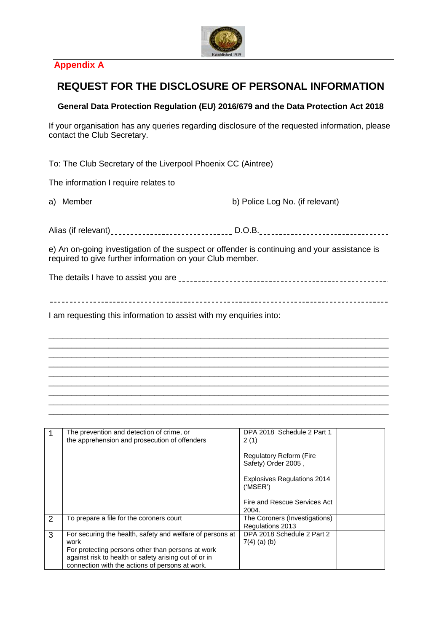

# <span id="page-1-0"></span>**Appendix A**

# **REQUEST FOR THE DISCLOSURE OF PERSONAL INFORMATION**

#### **General Data Protection Regulation (EU) 2016/679 and the Data Protection Act 2018**

If your organisation has any queries regarding disclosure of the requested information, please contact the Club Secretary.

To: The Club Secretary of the Liverpool Phoenix CC (Aintree)

The information I require relates to

a) Member b) Police Log No. (if relevant)

Alias (if relevant) D.O.B.

e) An on-going investigation of the suspect or offender is continuing and your assistance is required to give further information on your Club member.

The details I have to assist you are

\_\_\_\_\_\_\_\_\_\_\_\_\_\_\_\_\_\_\_\_\_\_\_\_\_\_\_\_\_\_\_\_\_\_\_\_\_\_\_\_\_\_\_\_\_\_\_\_\_\_\_\_\_\_\_\_\_\_\_\_\_\_\_\_\_\_\_\_\_\_\_\_\_\_ \_\_\_\_\_\_\_\_\_\_\_\_\_\_\_\_\_\_\_\_\_\_\_\_\_\_\_\_\_\_\_\_\_\_\_\_\_\_\_\_\_\_\_\_\_\_\_\_\_\_\_\_\_\_\_\_\_\_\_\_\_\_\_\_\_\_\_\_\_\_\_\_\_\_ \_\_\_\_\_\_\_\_\_\_\_\_\_\_\_\_\_\_\_\_\_\_\_\_\_\_\_\_\_\_\_\_\_\_\_\_\_\_\_\_\_\_\_\_\_\_\_\_\_\_\_\_\_\_\_\_\_\_\_\_\_\_\_\_\_\_\_\_\_\_\_\_\_\_ \_\_\_\_\_\_\_\_\_\_\_\_\_\_\_\_\_\_\_\_\_\_\_\_\_\_\_\_\_\_\_\_\_\_\_\_\_\_\_\_\_\_\_\_\_\_\_\_\_\_\_\_\_\_\_\_\_\_\_\_\_\_\_\_\_\_\_\_\_\_\_\_\_\_ \_\_\_\_\_\_\_\_\_\_\_\_\_\_\_\_\_\_\_\_\_\_\_\_\_\_\_\_\_\_\_\_\_\_\_\_\_\_\_\_\_\_\_\_\_\_\_\_\_\_\_\_\_\_\_\_\_\_\_\_\_\_\_\_\_\_\_\_\_\_\_\_\_\_ \_\_\_\_\_\_\_\_\_\_\_\_\_\_\_\_\_\_\_\_\_\_\_\_\_\_\_\_\_\_\_\_\_\_\_\_\_\_\_\_\_\_\_\_\_\_\_\_\_\_\_\_\_\_\_\_\_\_\_\_\_\_\_\_\_\_\_\_\_\_\_\_\_\_ \_\_\_\_\_\_\_\_\_\_\_\_\_\_\_\_\_\_\_\_\_\_\_\_\_\_\_\_\_\_\_\_\_\_\_\_\_\_\_\_\_\_\_\_\_\_\_\_\_\_\_\_\_\_\_\_\_\_\_\_\_\_\_\_\_\_\_\_\_\_\_\_\_\_ \_\_\_\_\_\_\_\_\_\_\_\_\_\_\_\_\_\_\_\_\_\_\_\_\_\_\_\_\_\_\_\_\_\_\_\_\_\_\_\_\_\_\_\_\_\_\_\_\_\_\_\_\_\_\_\_\_\_\_\_\_\_\_\_\_\_\_\_\_\_\_\_\_\_ \_\_\_\_\_\_\_\_\_\_\_\_\_\_\_\_\_\_\_\_\_\_\_\_\_\_\_\_\_\_\_\_\_\_\_\_\_\_\_\_\_\_\_\_\_\_\_\_\_\_\_\_\_\_\_\_\_\_\_\_\_\_\_\_\_\_\_\_\_\_\_\_\_\_

I am requesting this information to assist with my enquiries into:

| 1 | The prevention and detection of crime, or<br>the apprehension and prosecution of offenders                                                                                                                                         | DPA 2018 Schedule 2 Part 1<br>2(1)                    |  |
|---|------------------------------------------------------------------------------------------------------------------------------------------------------------------------------------------------------------------------------------|-------------------------------------------------------|--|
|   |                                                                                                                                                                                                                                    | <b>Regulatory Reform (Fire</b><br>Safety) Order 2005, |  |
|   |                                                                                                                                                                                                                                    | <b>Explosives Regulations 2014</b><br>('MSER')        |  |
|   |                                                                                                                                                                                                                                    | Fire and Rescue Services Act<br>2004.                 |  |
| 2 | To prepare a file for the coroners court                                                                                                                                                                                           | The Coroners (Investigations)<br>Regulations 2013     |  |
| 3 | For securing the health, safety and welfare of persons at<br>work<br>For protecting persons other than persons at work<br>against risk to health or safety arising out of or in<br>connection with the actions of persons at work. | DPA 2018 Schedule 2 Part 2<br>$7(4)$ (a) (b)          |  |